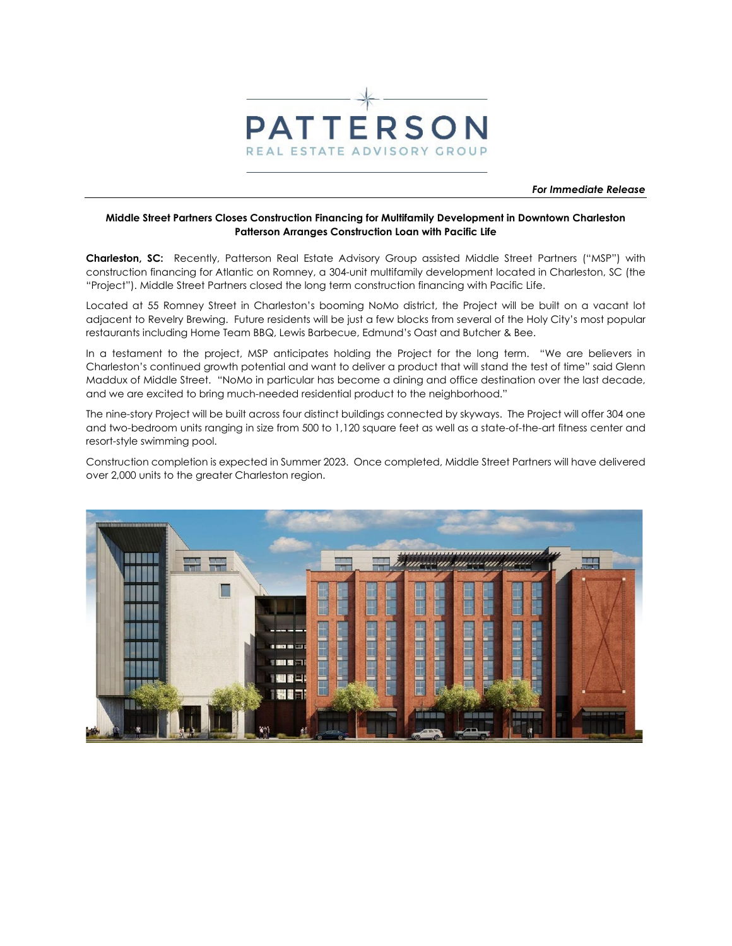

*For Immediate Release* 

## **Middle Street Partners Closes Construction Financing for Multifamily Development in Downtown Charleston Patterson Arranges Construction Loan with Pacific Life**

**Charleston, SC:** Recently, Patterson Real Estate Advisory Group assisted Middle Street Partners ("MSP") with construction financing for Atlantic on Romney, a 304-unit multifamily development located in Charleston, SC (the "Project"). Middle Street Partners closed the long term construction financing with Pacific Life.

Located at 55 Romney Street in Charleston's booming NoMo district, the Project will be built on a vacant lot adjacent to Revelry Brewing. Future residents will be just a few blocks from several of the Holy City's most popular restaurants including Home Team BBQ, Lewis Barbecue, Edmund's Oast and Butcher & Bee.

In a testament to the project, MSP anticipates holding the Project for the long term. "We are believers in Charleston's continued growth potential and want to deliver a product that will stand the test of time" said Glenn Maddux of Middle Street. "NoMo in particular has become a dining and office destination over the last decade, and we are excited to bring much-needed residential product to the neighborhood."

The nine-story Project will be built across four distinct buildings connected by skyways. The Project will offer 304 one and two-bedroom units ranging in size from 500 to 1,120 square feet as well as a state-of-the-art fitness center and resort-style swimming pool.

Construction completion is expected in Summer 2023. Once completed, Middle Street Partners will have delivered over 2,000 units to the greater Charleston region.